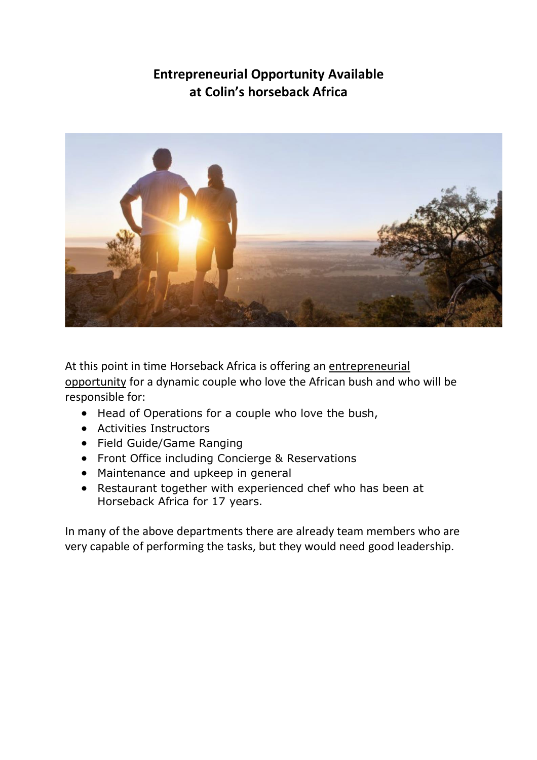# **Entrepreneurial Opportunity Available at Colin's horseback Africa**



At this point in time Horseback Africa is offering an entrepreneurial opportunity for a dynamic couple who love the African bush and who will be responsible for:

- Head of Operations for a couple who love the bush,
- Activities Instructors
- Field Guide/Game Ranging
- Front Office including Concierge & Reservations
- Maintenance and upkeep in general
- Restaurant together with experienced chef who has been at Horseback Africa for 17 years.

In many of the above departments there are already team members who are very capable of performing the tasks, but they would need good leadership.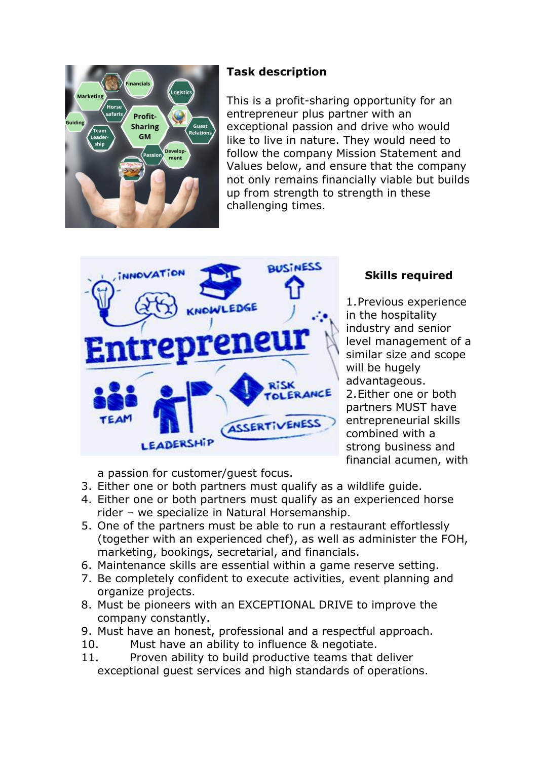

## **Task description**

This is a profit-sharing opportunity for an entrepreneur plus partner with an exceptional passion and drive who would like to live in nature. They would need to follow the company Mission Statement and Values below, and ensure that the company not only remains financially viable but builds up from strength to strength in these challenging times.



## **Skills required**

1.Previous experience in the hospitality industry and senior level management of a similar size and scope will be hugely advantageous. 2.Either one or both partners MUST have entrepreneurial skills combined with a strong business and financial acumen, with

a passion for customer/guest focus.

- 3. Either one or both partners must qualify as a wildlife guide.
- 4. Either one or both partners must qualify as an experienced horse rider – we specialize in Natural Horsemanship.
- 5. One of the partners must be able to run a restaurant effortlessly (together with an experienced chef), as well as administer the FOH, marketing, bookings, secretarial, and financials.
- 6. Maintenance skills are essential within a game reserve setting.
- 7. Be completely confident to execute activities, event planning and organize projects.
- 8. Must be pioneers with an EXCEPTIONAL DRIVE to improve the company constantly.
- 9. Must have an honest, professional and a respectful approach.
- 10. Must have an ability to influence & negotiate.
- 11. Proven ability to build productive teams that deliver exceptional guest services and high standards of operations.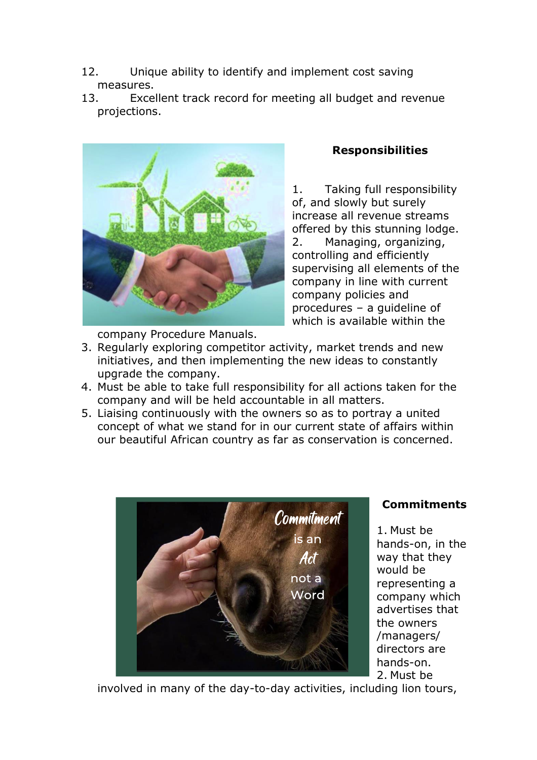- 12. Unique ability to identify and implement cost saving measures.
- 13. Excellent track record for meeting all budget and revenue projections.



company Procedure Manuals.

#### **Responsibilities**

1. Taking full responsibility of, and slowly but surely increase all revenue streams offered by this stunning lodge. 2. Managing, organizing, controlling and efficiently supervising all elements of the company in line with current company policies and procedures – a guideline of which is available within the

- 3. Regularly exploring competitor activity, market trends and new initiatives, and then implementing the new ideas to constantly upgrade the company.
- 4. Must be able to take full responsibility for all actions taken for the company and will be held accountable in all matters.
- 5. Liaising continuously with the owners so as to portray a united concept of what we stand for in our current state of affairs within our beautiful African country as far as conservation is concerned.



## **Commitments**

1. Must be hands-on, in the way that they would be representing a company which advertises that the owners /managers/ directors are hands-on. 2. Must be

involved in many of the day-to-day activities, including lion tours,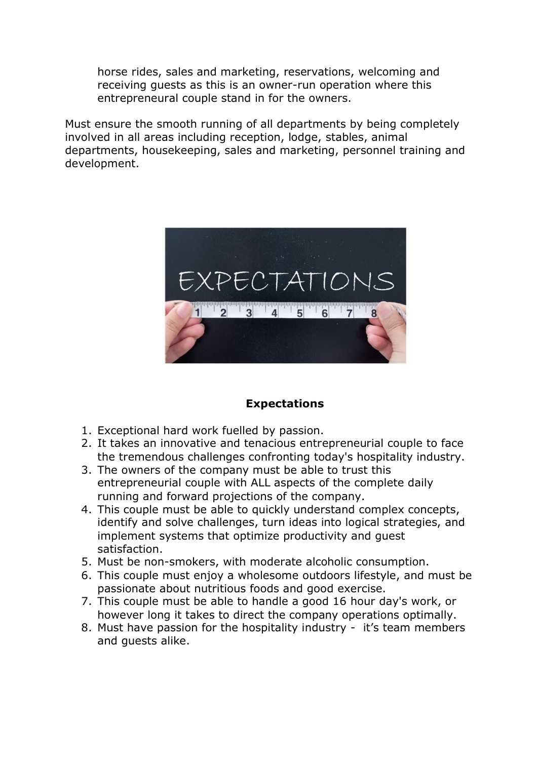horse rides, sales and marketing, reservations, welcoming and receiving guests as this is an owner-run operation where this entrepreneural couple stand in for the owners.

Must ensure the smooth running of all departments by being completely involved in all areas including reception, lodge, stables, animal departments, housekeeping, sales and marketing, personnel training and development.



#### **Expectations**

- 1. Exceptional hard work fuelled by passion.
- 2. It takes an innovative and tenacious entrepreneurial couple to face the tremendous challenges confronting today's hospitality industry.
- 3. The owners of the company must be able to trust this entrepreneurial couple with ALL aspects of the complete daily running and forward projections of the company.
- 4. This couple must be able to quickly understand complex concepts, identify and solve challenges, turn ideas into logical strategies, and implement systems that optimize productivity and guest satisfaction.
- 5. Must be non-smokers, with moderate alcoholic consumption.
- 6. This couple must enjoy a wholesome outdoors lifestyle, and must be passionate about nutritious foods and good exercise.
- 7. This couple must be able to handle a good 16 hour day's work, or however long it takes to direct the company operations optimally.
- 8. Must have passion for the hospitality industry it's team members and guests alike.